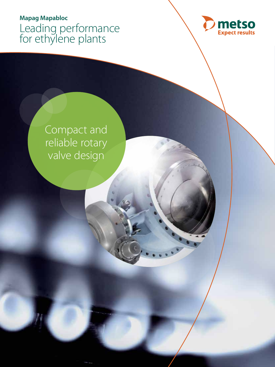# **Mapag Mapabloc** Leading performance for ethylene plants



Compact and reliable rotary valve design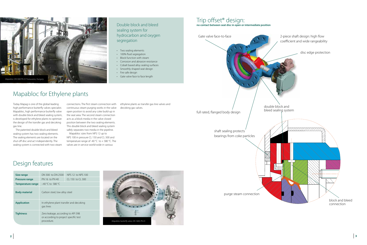## Mapabloc for Ethylene plants

Today Mapag is one of the global leading high performance butterfly valves specialist. Mapabloc, high performance butterfly valve with double block and bleed sealing system, is developed for ethylene plants to optimize the design of the transfer gas and decoking gas line.

The patented double block and bleed sealing system has two sealing elements. The sealing elements are located on the shut-off disc and act independently. The sealing system is connected with two steam connections. The first steam connection with continuous steam purging works in the valve open position to avoid any coke build-up in the seat area. The second steam connection acts as a block media in the valve closed position between the two sealing elements. This double block and bleed sealing system safely separates two media in the pipeline.



Mapabloc sizes from NPS 12 up to NPS 100 in pressure CL 150 and CL 300 and temperature range of -40 °C to  $+$  580 °C. The valves are in service world-wide in various



Double block and bleed

sealing system for

hydrocarbon and oxygen

segregation

• Two sealing elements • 100% fluid segregation • Block function with steam

• Corrosion and abrasion resistance

• Cobalt based alloy sealing surfaces

- Smoothly shaped seat design
- Fire safe design
- Gate valve face to face length

### Trip offset® design: **no contact between seat disc in open or intermediate position**



- 
- 

### Design features

| Size range               | DN 300 to DN 2500                                                                         | NPS 12 to NPS 100    |
|--------------------------|-------------------------------------------------------------------------------------------|----------------------|
| <b>Pressure range</b>    | PN 16 to PN 40                                                                            | $Cl$ 150 to $Cl$ 300 |
| <b>Temperature range</b> | $-40$ °C to 580 °C                                                                        |                      |
| <b>Body material</b>     | Carbon steel, low alloy steel                                                             |                      |
| <b>Application</b>       | In ethylene plant transfer and decoking<br>gas lines                                      |                      |
| <b>Tightness</b>         | Zero leakage, according to API 598<br>or according to project specific test<br>procedure. |                      |

ethylene plants as transfer gas line valves and decoking gas valves.